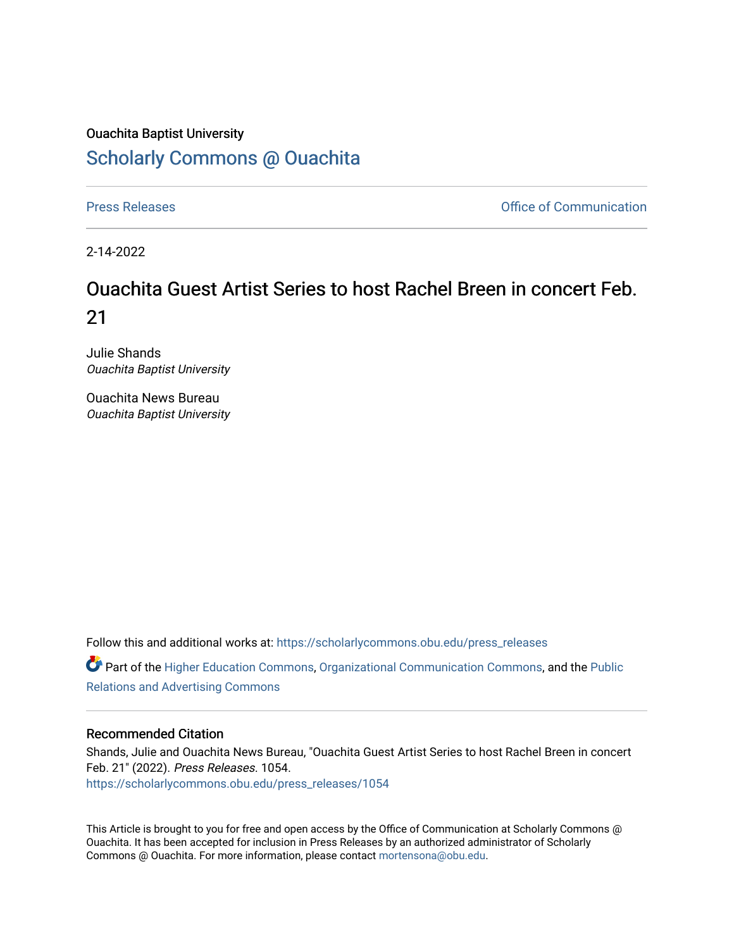## Ouachita Baptist University [Scholarly Commons @ Ouachita](https://scholarlycommons.obu.edu/)

[Press Releases](https://scholarlycommons.obu.edu/press_releases) **Press Releases Communication** 

2-14-2022

## Ouachita Guest Artist Series to host Rachel Breen in concert Feb. 21

Julie Shands Ouachita Baptist University

Ouachita News Bureau Ouachita Baptist University

Follow this and additional works at: [https://scholarlycommons.obu.edu/press\\_releases](https://scholarlycommons.obu.edu/press_releases?utm_source=scholarlycommons.obu.edu%2Fpress_releases%2F1054&utm_medium=PDF&utm_campaign=PDFCoverPages)

Part of the [Higher Education Commons,](http://network.bepress.com/hgg/discipline/1245?utm_source=scholarlycommons.obu.edu%2Fpress_releases%2F1054&utm_medium=PDF&utm_campaign=PDFCoverPages) [Organizational Communication Commons,](http://network.bepress.com/hgg/discipline/335?utm_source=scholarlycommons.obu.edu%2Fpress_releases%2F1054&utm_medium=PDF&utm_campaign=PDFCoverPages) and the [Public](http://network.bepress.com/hgg/discipline/336?utm_source=scholarlycommons.obu.edu%2Fpress_releases%2F1054&utm_medium=PDF&utm_campaign=PDFCoverPages) [Relations and Advertising Commons](http://network.bepress.com/hgg/discipline/336?utm_source=scholarlycommons.obu.edu%2Fpress_releases%2F1054&utm_medium=PDF&utm_campaign=PDFCoverPages) 

## Recommended Citation

Shands, Julie and Ouachita News Bureau, "Ouachita Guest Artist Series to host Rachel Breen in concert Feb. 21" (2022). Press Releases. 1054. [https://scholarlycommons.obu.edu/press\\_releases/1054](https://scholarlycommons.obu.edu/press_releases/1054?utm_source=scholarlycommons.obu.edu%2Fpress_releases%2F1054&utm_medium=PDF&utm_campaign=PDFCoverPages) 

This Article is brought to you for free and open access by the Office of Communication at Scholarly Commons @ Ouachita. It has been accepted for inclusion in Press Releases by an authorized administrator of Scholarly Commons @ Ouachita. For more information, please contact [mortensona@obu.edu](mailto:mortensona@obu.edu).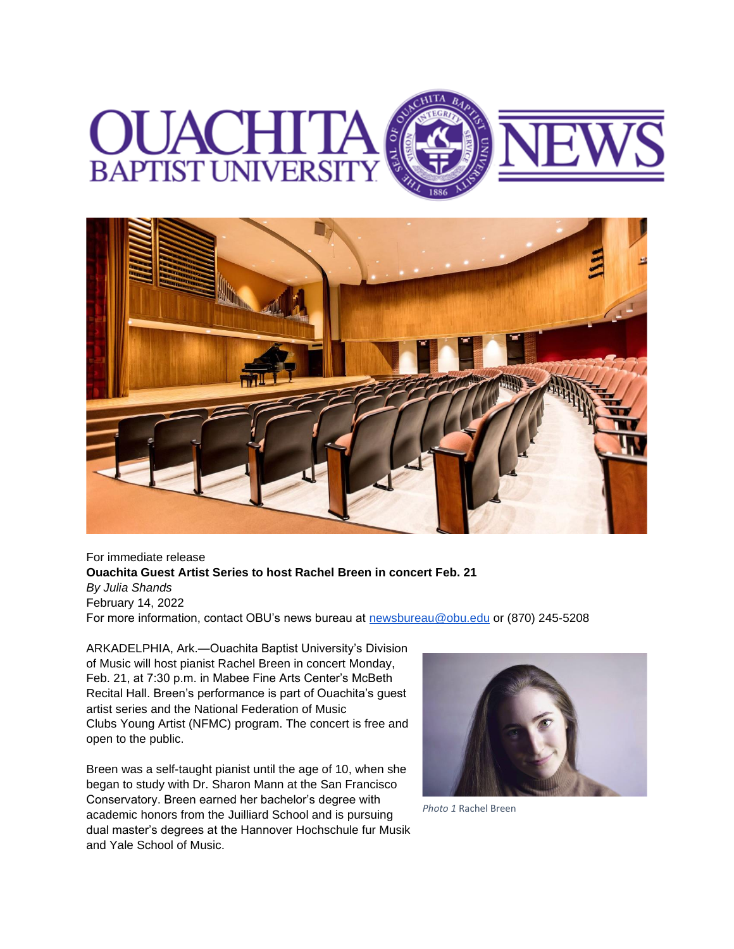



## For immediate release **Ouachita Guest Artist Series to host Rachel Breen in concert Feb. 21** *By Julia Shands* February 14, 2022 For more information, contact OBU's news bureau at [newsbureau@obu.edu](mailto:newsbureau@obu.edu) or (870) 245-5208

ARKADELPHIA, Ark.—Ouachita Baptist University's Division of Music will host pianist Rachel Breen in concert Monday, Feb. 21, at 7:30 p.m. in Mabee Fine Arts Center's McBeth Recital Hall. Breen's performance is part of Ouachita's guest artist series and the National Federation of Music Clubs Young Artist (NFMC) program. The concert is free and open to the public.

Breen was a self-taught pianist until the age of 10, when she began to study with Dr. Sharon Mann at the San Francisco Conservatory. Breen earned her bachelor's degree with academic honors from the Juilliard School and is pursuing dual master's degrees at the Hannover Hochschule fur Musik and Yale School of Music.



*Photo 1* Rachel Breen